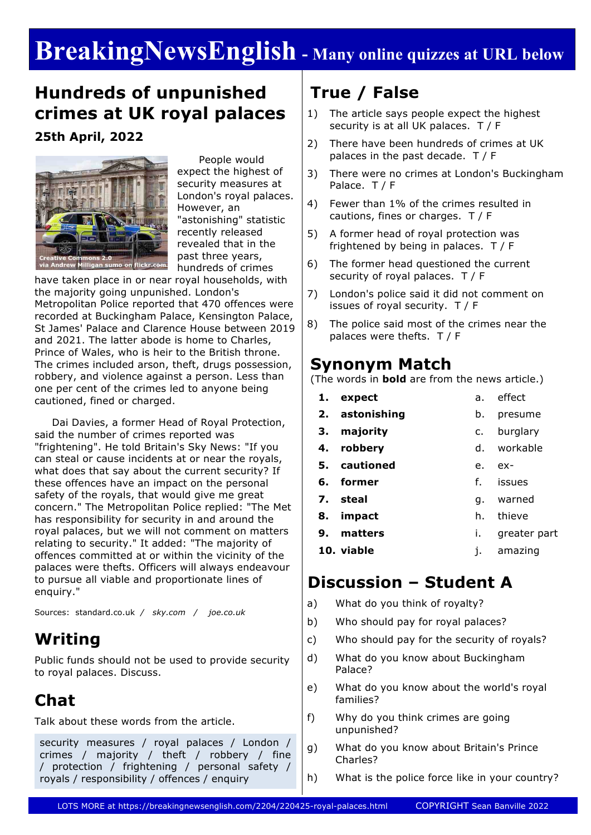# **BreakingNewsEnglish - Many online quizzes at URL below**

### **Hundreds of unpunished crimes at UK royal palaces**

**25th April, 2022**



 People would expect the highest of security measures at London's royal palaces. However, an "astonishing" statistic recently released revealed that in the past three years, hundreds of crimes

have taken place in or near royal households, with the majority going unpunished. London's Metropolitan Police reported that 470 offences were recorded at Buckingham Palace, Kensington Palace, St James' Palace and Clarence House between 2019 and 2021. The latter abode is home to Charles, Prince of Wales, who is heir to the British throne. The crimes included arson, theft, drugs possession, robbery, and violence against a person. Less than one per cent of the crimes led to anyone being cautioned, fined or charged.

 Dai Davies, a former Head of Royal Protection, said the number of crimes reported was "frightening". He told Britain's Sky News: "If you can steal or cause incidents at or near the royals, what does that say about the current security? If these offences have an impact on the personal safety of the royals, that would give me great concern." The Metropolitan Police replied: "The Met has responsibility for security in and around the royal palaces, but we will not comment on matters relating to security." It added: "The majority of offences committed at or within the vicinity of the palaces were thefts. Officers will always endeavour to pursue all viable and proportionate lines of enquiry."

Sources: standard.co.uk */ sky.com / joe.co.uk*

### **Writing**

Public funds should not be used to provide security to royal palaces. Discuss.

### **Chat**

Talk about these words from the article.

security measures / royal palaces / London / crimes / majority / theft / robbery / fine / protection / frightening / personal safety / royals / responsibility / offences / enquiry

## **True / False**

- 1) The article says people expect the highest security is at all UK palaces. T / F
- 2) There have been hundreds of crimes at UK palaces in the past decade. T / F
- 3) There were no crimes at London's Buckingham Palace. T / F
- 4) Fewer than 1% of the crimes resulted in cautions, fines or charges. T / F
- 5) A former head of royal protection was frightened by being in palaces. T / F
- 6) The former head questioned the current security of royal palaces. T / F
- 7) London's police said it did not comment on issues of royal security. T / F
- 8) The police said most of the crimes near the palaces were thefts. T / F

### **Synonym Match**

(The words in **bold** are from the news article.)

- **1. expect 2. astonishing 3. majority 4. robbery 5. cautioned 6. former** a. effect b. presume c. burglary d. workable e. ex
	- f. issues
- **7. steal** g. warned
- **8. impact** h. thieve
- **9. matters** i. greater part
	- j. amazing

### **Discussion – Student A**

a) What do you think of royalty?

**10. viable**

- b) Who should pay for royal palaces?
- c) Who should pay for the security of royals?
- d) What do you know about Buckingham Palace?
- e) What do you know about the world's royal families?
- f) Why do you think crimes are going unpunished?
- g) What do you know about Britain's Prince Charles?
- h) What is the police force like in your country?